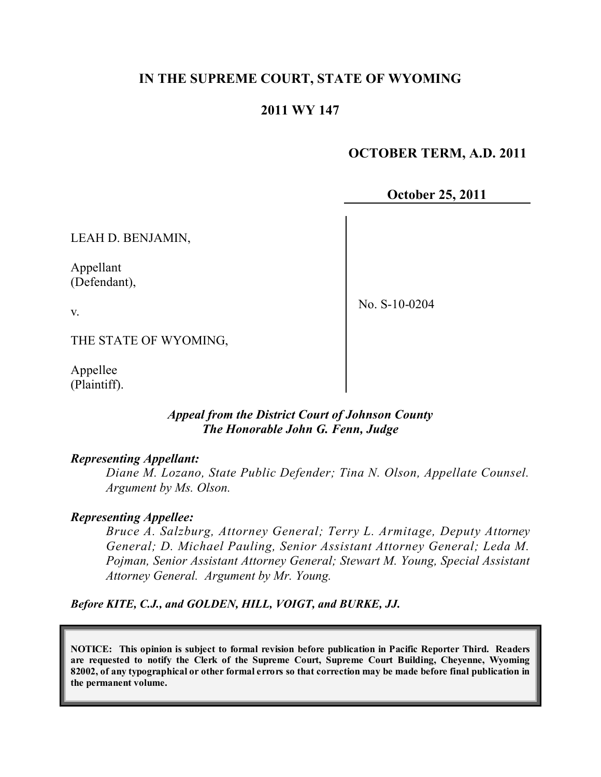### **IN THE SUPREME COURT, STATE OF WYOMING**

### **2011 WY 147**

## **OCTOBER TERM, A.D. 2011**

#### **October 25, 2011**

LEAH D. BENJAMIN,

Appellant (Defendant),

No. S-10-0204

THE STATE OF WYOMING,

Appellee (Plaintiff).

v.

#### *Appeal from the District Court of Johnson County The Honorable John G. Fenn, Judge*

#### *Representing Appellant:*

*Diane M. Lozano, State Public Defender; Tina N. Olson, Appellate Counsel. Argument by Ms. Olson.*

#### *Representing Appellee:*

*Bruce A. Salzburg, Attorney General; Terry L. Armitage, Deputy Attorney General; D. Michael Pauling, Senior Assistant Attorney General; Leda M. Pojman, Senior Assistant Attorney General; Stewart M. Young, Special Assistant Attorney General. Argument by Mr. Young.*

*Before KITE, C.J., and GOLDEN, HILL, VOIGT, and BURKE, JJ.*

**NOTICE: This opinion is subject to formal revision before publication in Pacific Reporter Third. Readers are requested to notify the Clerk of the Supreme Court, Supreme Court Building, Cheyenne, Wyoming** 82002, of any typographical or other formal errors so that correction may be made before final publication in **the permanent volume.**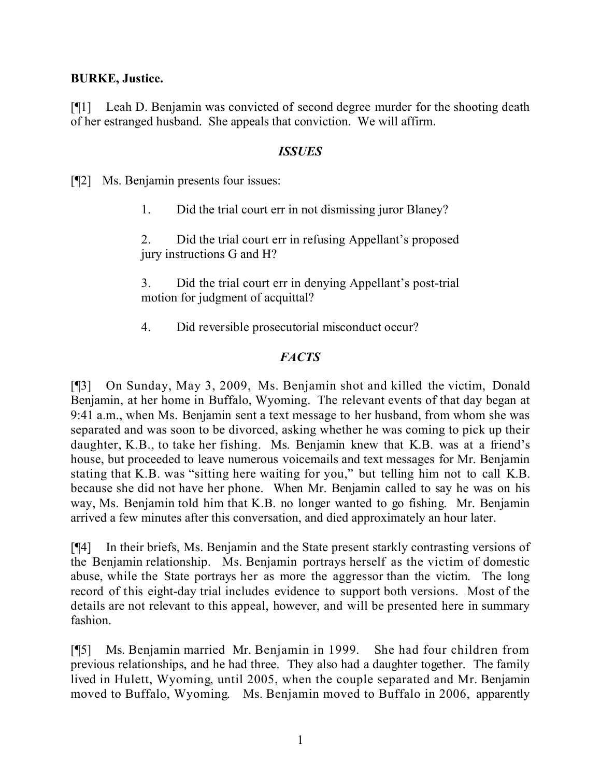#### **BURKE, Justice.**

[¶1] Leah D. Benjamin was convicted of second degree murder for the shooting death of her estranged husband. She appeals that conviction. We will affirm.

#### *ISSUES*

[¶2] Ms. Benjamin presents four issues:

1. Did the trial court err in not dismissing juror Blaney?

2. Did the trial court err in refusing Appellant's proposed jury instructions G and H?

3. Did the trial court err in denying Appellant's post-trial motion for judgment of acquittal?

4. Did reversible prosecutorial misconduct occur?

### *FACTS*

[¶3] On Sunday, May 3, 2009, Ms. Benjamin shot and killed the victim, Donald Benjamin, at her home in Buffalo, Wyoming. The relevant events of that day began at 9:41 a.m., when Ms. Benjamin sent a text message to her husband, from whom she was separated and was soon to be divorced, asking whether he was coming to pick up their daughter, K.B., to take her fishing. Ms. Benjamin knew that K.B. was at a friend's house, but proceeded to leave numerous voicemails and text messages for Mr. Benjamin stating that K.B. was "sitting here waiting for you," but telling him not to call K.B. because she did not have her phone. When Mr. Benjamin called to say he was on his way, Ms. Benjamin told him that K.B. no longer wanted to go fishing. Mr. Benjamin arrived a few minutes after this conversation, and died approximately an hour later.

[¶4] In their briefs, Ms. Benjamin and the State present starkly contrasting versions of the Benjamin relationship. Ms. Benjamin portrays herself as the victim of domestic abuse, while the State portrays her as more the aggressor than the victim. The long record of this eight-day trial includes evidence to support both versions. Most of the details are not relevant to this appeal, however, and will be presented here in summary fashion.

[¶5] Ms. Benjamin married Mr. Benjamin in 1999. She had four children from previous relationships, and he had three. They also had a daughter together. The family lived in Hulett, Wyoming, until 2005, when the couple separated and Mr. Benjamin moved to Buffalo, Wyoming. Ms. Benjamin moved to Buffalo in 2006, apparently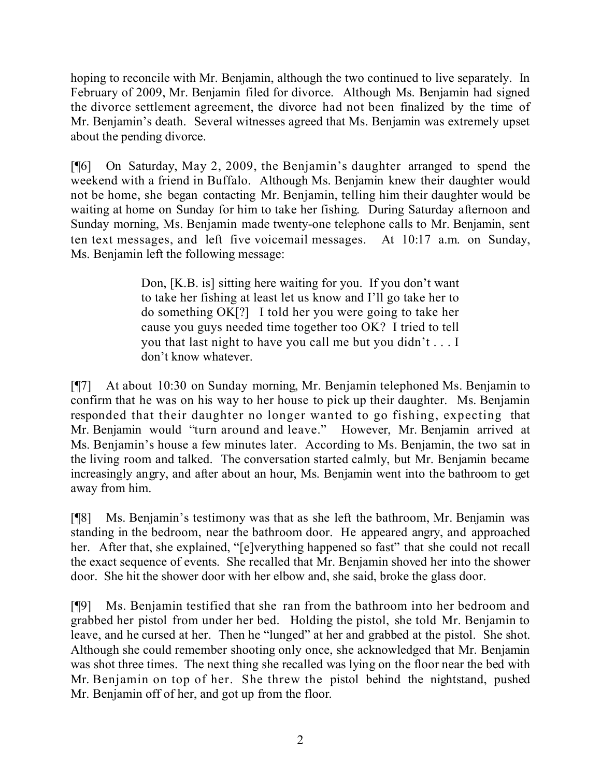hoping to reconcile with Mr. Benjamin, although the two continued to live separately. In February of 2009, Mr. Benjamin filed for divorce. Although Ms. Benjamin had signed the divorce settlement agreement, the divorce had not been finalized by the time of Mr. Benjamin's death. Several witnesses agreed that Ms. Benjamin was extremely upset about the pending divorce.

[¶6] On Saturday, May 2, 2009, the Benjamin's daughter arranged to spend the weekend with a friend in Buffalo. Although Ms. Benjamin knew their daughter would not be home, she began contacting Mr. Benjamin, telling him their daughter would be waiting at home on Sunday for him to take her fishing. During Saturday afternoon and Sunday morning, Ms. Benjamin made twenty-one telephone calls to Mr. Benjamin, sent ten text messages, and left five voicemail messages. At 10:17 a.m. on Sunday, Ms. Benjamin left the following message:

> Don, [K.B. is] sitting here waiting for you. If you don't want to take her fishing at least let us know and I'll go take her to do something OK[?] I told her you were going to take her cause you guys needed time together too OK? I tried to tell you that last night to have you call me but you didn't . . . I don't know whatever.

[¶7] At about 10:30 on Sunday morning, Mr. Benjamin telephoned Ms. Benjamin to confirm that he was on his way to her house to pick up their daughter. Ms. Benjamin responded that their daughter no longer wanted to go fishing, expecting that Mr. Benjamin would "turn around and leave." However, Mr. Benjamin arrived at Ms. Benjamin's house a few minutes later. According to Ms. Benjamin, the two sat in the living room and talked. The conversation started calmly, but Mr. Benjamin became increasingly angry, and after about an hour, Ms. Benjamin went into the bathroom to get away from him.

[¶8] Ms. Benjamin's testimony was that as she left the bathroom, Mr. Benjamin was standing in the bedroom, near the bathroom door. He appeared angry, and approached her. After that, she explained, "[e]verything happened so fast" that she could not recall the exact sequence of events. She recalled that Mr. Benjamin shoved her into the shower door. She hit the shower door with her elbow and, she said, broke the glass door.

[¶9] Ms. Benjamin testified that she ran from the bathroom into her bedroom and grabbed her pistol from under her bed. Holding the pistol, she told Mr. Benjamin to leave, and he cursed at her. Then he "lunged" at her and grabbed at the pistol. She shot. Although she could remember shooting only once, she acknowledged that Mr. Benjamin was shot three times. The next thing she recalled was lying on the floor near the bed with Mr. Benjamin on top of her. She threw the pistol behind the nightstand, pushed Mr. Benjamin off of her, and got up from the floor.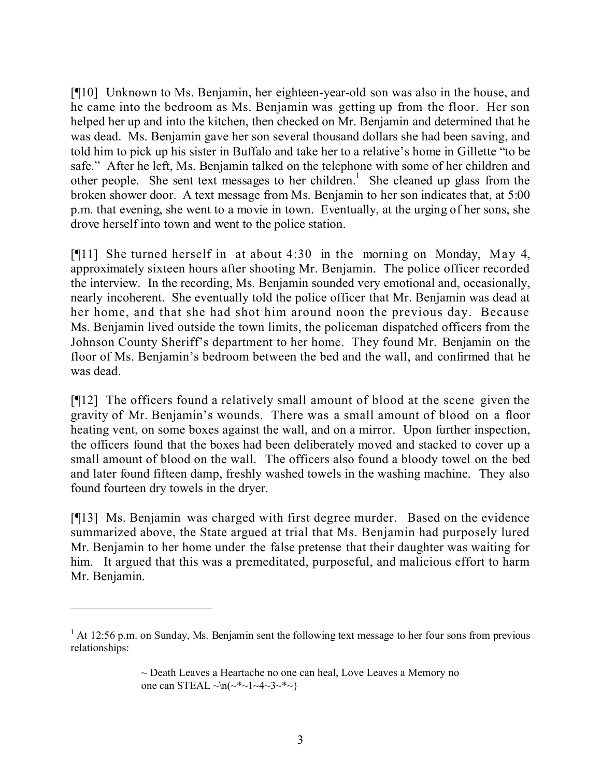[¶10] Unknown to Ms. Benjamin, her eighteen-year-old son was also in the house, and he came into the bedroom as Ms. Benjamin was getting up from the floor. Her son helped her up and into the kitchen, then checked on Mr. Benjamin and determined that he was dead. Ms. Benjamin gave her son several thousand dollars she had been saving, and told him to pick up his sister in Buffalo and take her to a relative's home in Gillette "to be safe." After he left, Ms. Benjamin talked on the telephone with some of her children and other people. She sent text messages to her children.<sup>1</sup> She cleaned up glass from the broken shower door. A text message from Ms. Benjamin to her son indicates that, at 5:00 p.m. that evening, she went to a movie in town. Eventually, at the urging of her sons, she drove herself into town and went to the police station.

[¶11] She turned herself in at about 4:30 in the morning on Monday, May 4, approximately sixteen hours after shooting Mr. Benjamin. The police officer recorded the interview. In the recording, Ms. Benjamin sounded very emotional and, occasionally, nearly incoherent. She eventually told the police officer that Mr. Benjamin was dead at her home, and that she had shot him around noon the previous day. Because Ms. Benjamin lived outside the town limits, the policeman dispatched officers from the Johnson County Sheriff's department to her home. They found Mr. Benjamin on the floor of Ms. Benjamin's bedroom between the bed and the wall, and confirmed that he was dead.

[¶12] The officers found a relatively small amount of blood at the scene given the gravity of Mr. Benjamin's wounds. There was a small amount of blood on a floor heating vent, on some boxes against the wall, and on a mirror. Upon further inspection, the officers found that the boxes had been deliberately moved and stacked to cover up a small amount of blood on the wall. The officers also found a bloody towel on the bed and later found fifteen damp, freshly washed towels in the washing machine. They also found fourteen dry towels in the dryer.

[¶13] Ms. Benjamin was charged with first degree murder. Based on the evidence summarized above, the State argued at trial that Ms. Benjamin had purposely lured Mr. Benjamin to her home under the false pretense that their daughter was waiting for him. It argued that this was a premeditated, purposeful, and malicious effort to harm Mr. Benjamin.

<sup>&</sup>lt;sup>1</sup> At 12:56 p.m. on Sunday, Ms. Benjamin sent the following text message to her four sons from previous relationships:

<sup>~</sup> Death Leaves a Heartache no one can heal, Love Leaves a Memory no one can STEAL  $\sim$ n( $\sim$ \* $\sim$ 1 $\sim$ 4 $\sim$ 3 $\sim$ \* $\sim$ }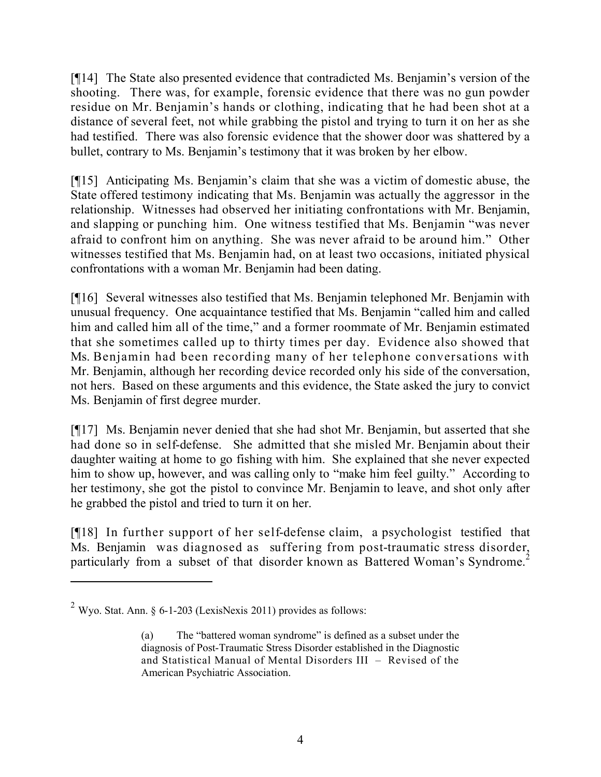[¶14] The State also presented evidence that contradicted Ms. Benjamin's version of the shooting. There was, for example, forensic evidence that there was no gun powder residue on Mr. Benjamin's hands or clothing, indicating that he had been shot at a distance of several feet, not while grabbing the pistol and trying to turn it on her as she had testified. There was also forensic evidence that the shower door was shattered by a bullet, contrary to Ms. Benjamin's testimony that it was broken by her elbow.

[¶15] Anticipating Ms. Benjamin's claim that she was a victim of domestic abuse, the State offered testimony indicating that Ms. Benjamin was actually the aggressor in the relationship. Witnesses had observed her initiating confrontations with Mr. Benjamin, and slapping or punching him. One witness testified that Ms. Benjamin "was never afraid to confront him on anything. She was never afraid to be around him." Other witnesses testified that Ms. Benjamin had, on at least two occasions, initiated physical confrontations with a woman Mr. Benjamin had been dating.

[¶16] Several witnesses also testified that Ms. Benjamin telephoned Mr. Benjamin with unusual frequency. One acquaintance testified that Ms. Benjamin "called him and called him and called him all of the time," and a former roommate of Mr. Benjamin estimated that she sometimes called up to thirty times per day. Evidence also showed that Ms. Benjamin had been recording many of her telephone conversations with Mr. Benjamin, although her recording device recorded only his side of the conversation, not hers. Based on these arguments and this evidence, the State asked the jury to convict Ms. Benjamin of first degree murder.

[¶17] Ms. Benjamin never denied that she had shot Mr. Benjamin, but asserted that she had done so in self-defense. She admitted that she misled Mr. Benjamin about their daughter waiting at home to go fishing with him. She explained that she never expected him to show up, however, and was calling only to "make him feel guilty." According to her testimony, she got the pistol to convince Mr. Benjamin to leave, and shot only after he grabbed the pistol and tried to turn it on her.

[¶18] In further support of her self-defense claim, a psychologist testified that Ms. Benjamin was diagnosed as suffering from post-traumatic stress disorder, particularly from a subset of that disorder known as Battered Woman's Syndrome.<sup>2</sup>

 $2$  Wyo. Stat. Ann. § 6-1-203 (LexisNexis 2011) provides as follows:

<sup>(</sup>a) The "battered woman syndrome" is defined as a subset under the diagnosis of Post-Traumatic Stress Disorder established in the Diagnostic and Statistical Manual of Mental Disorders III – Revised of the American Psychiatric Association.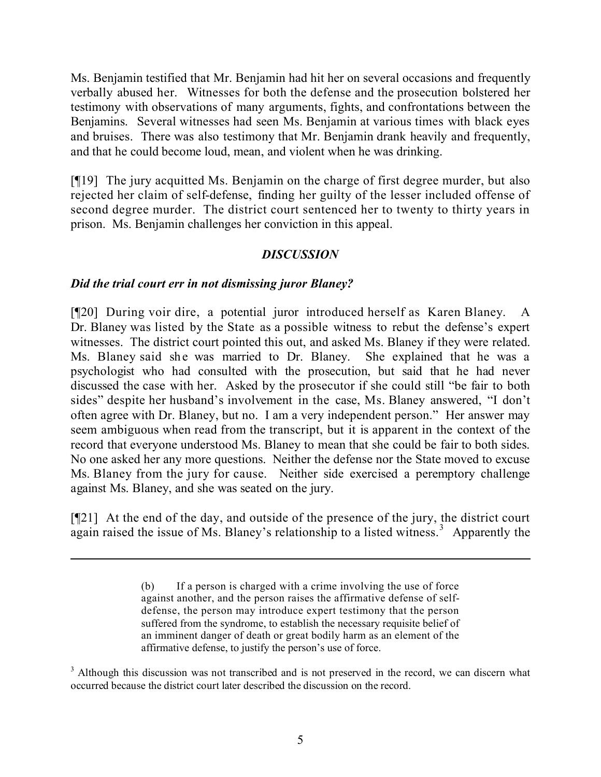Ms. Benjamin testified that Mr. Benjamin had hit her on several occasions and frequently verbally abused her. Witnesses for both the defense and the prosecution bolstered her testimony with observations of many arguments, fights, and confrontations between the Benjamins. Several witnesses had seen Ms. Benjamin at various times with black eyes and bruises. There was also testimony that Mr. Benjamin drank heavily and frequently, and that he could become loud, mean, and violent when he was drinking.

[¶19] The jury acquitted Ms. Benjamin on the charge of first degree murder, but also rejected her claim of self-defense, finding her guilty of the lesser included offense of second degree murder. The district court sentenced her to twenty to thirty years in prison. Ms. Benjamin challenges her conviction in this appeal.

## *DISCUSSION*

### *Did the trial court err in not dismissing juror Blaney?*

[¶20] During voir dire, a potential juror introduced herself as Karen Blaney. A Dr. Blaney was listed by the State as a possible witness to rebut the defense's expert witnesses. The district court pointed this out, and asked Ms. Blaney if they were related. Ms. Blaney said she was married to Dr. Blaney. She explained that he was a psychologist who had consulted with the prosecution, but said that he had never discussed the case with her. Asked by the prosecutor if she could still "be fair to both sides" despite her husband's involvement in the case, Ms. Blaney answered, "I don't often agree with Dr. Blaney, but no. I am a very independent person." Her answer may seem ambiguous when read from the transcript, but it is apparent in the context of the record that everyone understood Ms. Blaney to mean that she could be fair to both sides. No one asked her any more questions. Neither the defense nor the State moved to excuse Ms. Blaney from the jury for cause. Neither side exercised a peremptory challenge against Ms. Blaney, and she was seated on the jury.

[¶21] At the end of the day, and outside of the presence of the jury, the district court again raised the issue of Ms. Blaney's relationship to a listed witness.<sup>3</sup> Apparently the

l

<sup>3</sup> Although this discussion was not transcribed and is not preserved in the record, we can discern what occurred because the district court later described the discussion on the record.

<sup>(</sup>b) If a person is charged with a crime involving the use of force against another, and the person raises the affirmative defense of selfdefense, the person may introduce expert testimony that the person suffered from the syndrome, to establish the necessary requisite belief of an imminent danger of death or great bodily harm as an element of the affirmative defense, to justify the person's use of force.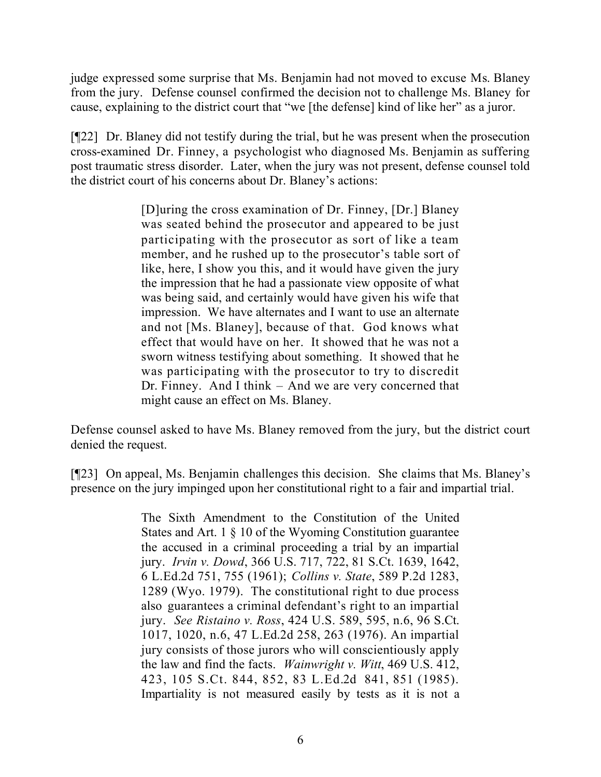judge expressed some surprise that Ms. Benjamin had not moved to excuse Ms. Blaney from the jury. Defense counsel confirmed the decision not to challenge Ms. Blaney for cause, explaining to the district court that "we [the defense] kind of like her" as a juror.

[¶22] Dr. Blaney did not testify during the trial, but he was present when the prosecution cross-examined Dr. Finney, a psychologist who diagnosed Ms. Benjamin as suffering post traumatic stress disorder. Later, when the jury was not present, defense counsel told the district court of his concerns about Dr. Blaney's actions:

> [D]uring the cross examination of Dr. Finney, [Dr.] Blaney was seated behind the prosecutor and appeared to be just participating with the prosecutor as sort of like a team member, and he rushed up to the prosecutor's table sort of like, here, I show you this, and it would have given the jury the impression that he had a passionate view opposite of what was being said, and certainly would have given his wife that impression. We have alternates and I want to use an alternate and not [Ms. Blaney], because of that. God knows what effect that would have on her. It showed that he was not a sworn witness testifying about something. It showed that he was participating with the prosecutor to try to discredit Dr. Finney. And I think – And we are very concerned that might cause an effect on Ms. Blaney.

Defense counsel asked to have Ms. Blaney removed from the jury, but the district court denied the request.

[¶23] On appeal, Ms. Benjamin challenges this decision. She claims that Ms. Blaney's presence on the jury impinged upon her constitutional right to a fair and impartial trial.

> The Sixth Amendment to the Constitution of the United States and Art. 1 § 10 of the Wyoming Constitution guarantee the accused in a criminal proceeding a trial by an impartial jury. *Irvin v. Dowd*, 366 U.S. 717, 722, 81 S.Ct. 1639, 1642, 6 L.Ed.2d 751, 755 (1961); *Collins v. State*, 589 P.2d 1283, 1289 (Wyo. 1979). The constitutional right to due process also guarantees a criminal defendant's right to an impartial jury. *See Ristaino v. Ross*, 424 U.S. 589, 595, n.6, 96 S.Ct. 1017, 1020, n.6, 47 L.Ed.2d 258, 263 (1976). An impartial jury consists of those jurors who will conscientiously apply the law and find the facts. *Wainwright v. Witt*, 469 U.S. 412, 423, 105 S.Ct. 844, 852, 83 L.Ed.2d 841, 851 (1985). Impartiality is not measured easily by tests as it is not a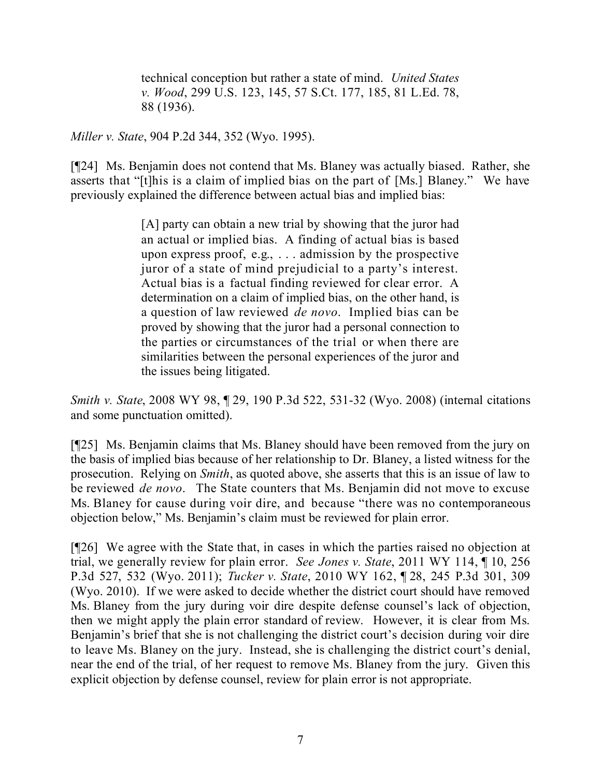technical conception but rather a state of mind. *United States v. Wood*, 299 U.S. 123, 145, 57 S.Ct. 177, 185, 81 L.Ed. 78, 88 (1936).

*Miller v. State*, 904 P.2d 344, 352 (Wyo. 1995).

[¶24] Ms. Benjamin does not contend that Ms. Blaney was actually biased. Rather, she asserts that "[t]his is a claim of implied bias on the part of [Ms.] Blaney." We have previously explained the difference between actual bias and implied bias:

> [A] party can obtain a new trial by showing that the juror had an actual or implied bias. A finding of actual bias is based upon express proof, e.g., . . . admission by the prospective juror of a state of mind prejudicial to a party's interest. Actual bias is a factual finding reviewed for clear error. A determination on a claim of implied bias, on the other hand, is a question of law reviewed *de novo*. Implied bias can be proved by showing that the juror had a personal connection to the parties or circumstances of the trial or when there are similarities between the personal experiences of the juror and the issues being litigated.

*Smith v. State*, 2008 WY 98, ¶ 29, 190 P.3d 522, 531-32 (Wyo. 2008) (internal citations and some punctuation omitted).

[¶25] Ms. Benjamin claims that Ms. Blaney should have been removed from the jury on the basis of implied bias because of her relationship to Dr. Blaney, a listed witness for the prosecution. Relying on *Smith*, as quoted above, she asserts that this is an issue of law to be reviewed *de novo*. The State counters that Ms. Benjamin did not move to excuse Ms. Blaney for cause during voir dire, and because "there was no contemporaneous objection below," Ms. Benjamin's claim must be reviewed for plain error.

[¶26] We agree with the State that, in cases in which the parties raised no objection at trial, we generally review for plain error. *See Jones v. State*, 2011 WY 114, ¶ 10, 256 P.3d 527, 532 (Wyo. 2011); *Tucker v. State*, 2010 WY 162, ¶ 28, 245 P.3d 301, 309 (Wyo. 2010). If we were asked to decide whether the district court should have removed Ms. Blaney from the jury during voir dire despite defense counsel's lack of objection, then we might apply the plain error standard of review. However, it is clear from Ms. Benjamin's brief that she is not challenging the district court's decision during voir dire to leave Ms. Blaney on the jury. Instead, she is challenging the district court's denial, near the end of the trial, of her request to remove Ms. Blaney from the jury. Given this explicit objection by defense counsel, review for plain error is not appropriate.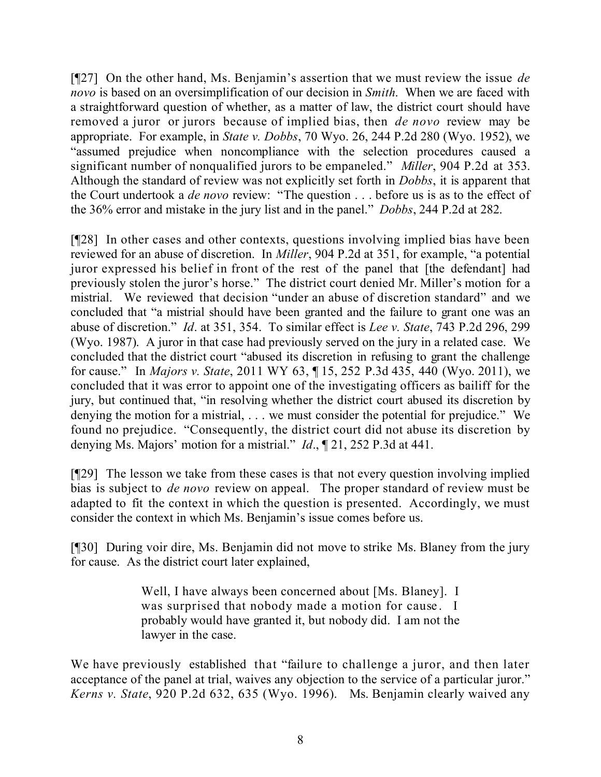[¶27] On the other hand, Ms. Benjamin's assertion that we must review the issue *de novo* is based on an oversimplification of our decision in *Smith*. When we are faced with a straightforward question of whether, as a matter of law, the district court should have removed a juror or jurors because of implied bias, then *de novo* review may be appropriate. For example, in *State v. Dobbs*, 70 Wyo. 26, 244 P.2d 280 (Wyo. 1952), we "assumed prejudice when noncompliance with the selection procedures caused a significant number of nonqualified jurors to be empaneled." *Miller*, 904 P.2d at 353. Although the standard of review was not explicitly set forth in *Dobbs*, it is apparent that the Court undertook a *de novo* review: "The question . . . before us is as to the effect of the 36% error and mistake in the jury list and in the panel." *Dobbs*, 244 P.2d at 282.

[¶28] In other cases and other contexts, questions involving implied bias have been reviewed for an abuse of discretion. In *Miller*, 904 P.2d at 351, for example, "a potential juror expressed his belief in front of the rest of the panel that [the defendant] had previously stolen the juror's horse." The district court denied Mr. Miller's motion for a mistrial. We reviewed that decision "under an abuse of discretion standard" and we concluded that "a mistrial should have been granted and the failure to grant one was an abuse of discretion." *Id*. at 351, 354. To similar effect is *Lee v. State*, 743 P.2d 296, 299 (Wyo. 1987). A juror in that case had previously served on the jury in a related case. We concluded that the district court "abused its discretion in refusing to grant the challenge for cause." In *Majors v. State*, 2011 WY 63, ¶ 15, 252 P.3d 435, 440 (Wyo. 2011), we concluded that it was error to appoint one of the investigating officers as bailiff for the jury, but continued that, "in resolving whether the district court abused its discretion by denying the motion for a mistrial, . . . we must consider the potential for prejudice." We found no prejudice. "Consequently, the district court did not abuse its discretion by denying Ms. Majors' motion for a mistrial." *Id*., ¶ 21, 252 P.3d at 441.

[¶29] The lesson we take from these cases is that not every question involving implied bias is subject to *de novo* review on appeal. The proper standard of review must be adapted to fit the context in which the question is presented. Accordingly, we must consider the context in which Ms. Benjamin's issue comes before us.

[¶30] During voir dire, Ms. Benjamin did not move to strike Ms. Blaney from the jury for cause. As the district court later explained,

> Well, I have always been concerned about [Ms. Blaney]. I was surprised that nobody made a motion for cause. I probably would have granted it, but nobody did. I am not the lawyer in the case.

We have previously established that "failure to challenge a juror, and then later acceptance of the panel at trial, waives any objection to the service of a particular juror." *Kerns v. State*, 920 P.2d 632, 635 (Wyo. 1996). Ms. Benjamin clearly waived any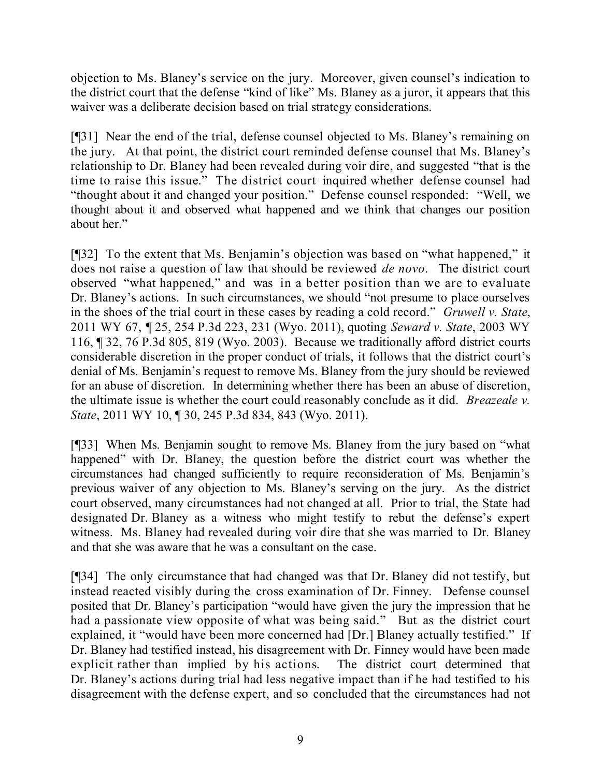objection to Ms. Blaney's service on the jury. Moreover, given counsel's indication to the district court that the defense "kind of like" Ms. Blaney as a juror, it appears that this waiver was a deliberate decision based on trial strategy considerations.

[¶31] Near the end of the trial, defense counsel objected to Ms. Blaney's remaining on the jury. At that point, the district court reminded defense counsel that Ms. Blaney's relationship to Dr. Blaney had been revealed during voir dire, and suggested "that is the time to raise this issue." The district court inquired whether defense counsel had "thought about it and changed your position." Defense counsel responded: "Well, we thought about it and observed what happened and we think that changes our position about her."

[¶32] To the extent that Ms. Benjamin's objection was based on "what happened," it does not raise a question of law that should be reviewed *de novo*. The district court observed "what happened," and was in a better position than we are to evaluate Dr. Blaney's actions. In such circumstances, we should "not presume to place ourselves in the shoes of the trial court in these cases by reading a cold record." *Gruwell v. State*, 2011 WY 67, ¶ 25, 254 P.3d 223, 231 (Wyo. 2011), quoting *Seward v. State*, 2003 WY 116, ¶ 32, 76 P.3d 805, 819 (Wyo. 2003). Because we traditionally afford district courts considerable discretion in the proper conduct of trials, it follows that the district court's denial of Ms. Benjamin's request to remove Ms. Blaney from the jury should be reviewed for an abuse of discretion. In determining whether there has been an abuse of discretion, the ultimate issue is whether the court could reasonably conclude as it did. *Breazeale v. State*, 2011 WY 10, ¶ 30, 245 P.3d 834, 843 (Wyo. 2011).

[¶33] When Ms. Benjamin sought to remove Ms. Blaney from the jury based on "what happened" with Dr. Blaney, the question before the district court was whether the circumstances had changed sufficiently to require reconsideration of Ms. Benjamin's previous waiver of any objection to Ms. Blaney's serving on the jury. As the district court observed, many circumstances had not changed at all. Prior to trial, the State had designated Dr. Blaney as a witness who might testify to rebut the defense's expert witness. Ms. Blaney had revealed during voir dire that she was married to Dr. Blaney and that she was aware that he was a consultant on the case.

[¶34] The only circumstance that had changed was that Dr. Blaney did not testify, but instead reacted visibly during the cross examination of Dr. Finney. Defense counsel posited that Dr. Blaney's participation "would have given the jury the impression that he had a passionate view opposite of what was being said." But as the district court explained, it "would have been more concerned had [Dr.] Blaney actually testified." If Dr. Blaney had testified instead, his disagreement with Dr. Finney would have been made explicit rather than implied by his actions. The district court determined that Dr. Blaney's actions during trial had less negative impact than if he had testified to his disagreement with the defense expert, and so concluded that the circumstances had not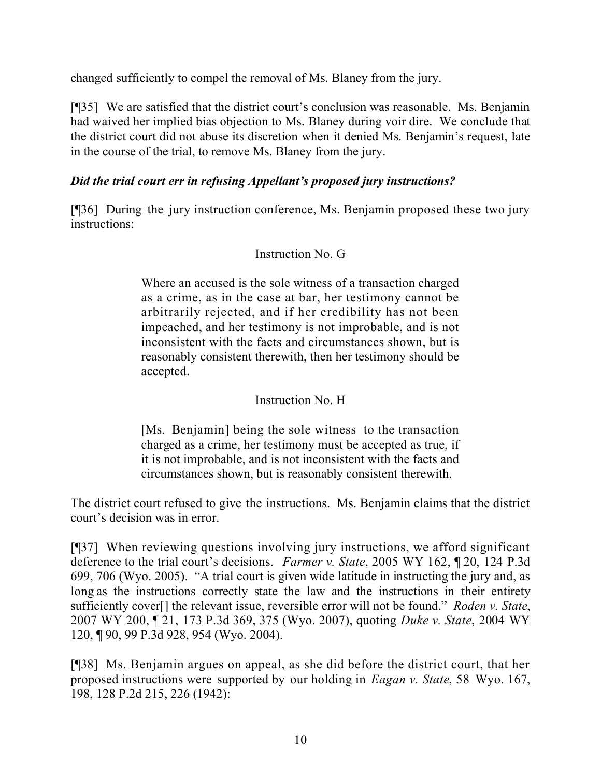changed sufficiently to compel the removal of Ms. Blaney from the jury.

[¶35] We are satisfied that the district court's conclusion was reasonable. Ms. Benjamin had waived her implied bias objection to Ms. Blaney during voir dire. We conclude that the district court did not abuse its discretion when it denied Ms. Benjamin's request, late in the course of the trial, to remove Ms. Blaney from the jury.

## *Did the trial court err in refusing Appellant's proposed jury instructions?*

[¶36] During the jury instruction conference, Ms. Benjamin proposed these two jury instructions:

### Instruction No. G

Where an accused is the sole witness of a transaction charged as a crime, as in the case at bar, her testimony cannot be arbitrarily rejected, and if her credibility has not been impeached, and her testimony is not improbable, and is not inconsistent with the facts and circumstances shown, but is reasonably consistent therewith, then her testimony should be accepted.

### Instruction No. H

[Ms. Benjamin] being the sole witness to the transaction charged as a crime, her testimony must be accepted as true, if it is not improbable, and is not inconsistent with the facts and circumstances shown, but is reasonably consistent therewith.

The district court refused to give the instructions. Ms. Benjamin claims that the district court's decision was in error.

[¶37] When reviewing questions involving jury instructions, we afford significant deference to the trial court's decisions. *Farmer v. State*, 2005 WY 162, ¶ 20, 124 P.3d 699, 706 (Wyo. 2005). "A trial court is given wide latitude in instructing the jury and, as long as the instructions correctly state the law and the instructions in their entirety sufficiently cover[] the relevant issue, reversible error will not be found." *Roden v. State*, 2007 WY 200, ¶ 21, 173 P.3d 369, 375 (Wyo. 2007), quoting *Duke v. State*, 2004 WY 120, ¶ 90, 99 P.3d 928, 954 (Wyo. 2004).

[¶38] Ms. Benjamin argues on appeal, as she did before the district court, that her proposed instructions were supported by our holding in *Eagan v. State*, 58 Wyo. 167, 198, 128 P.2d 215, 226 (1942):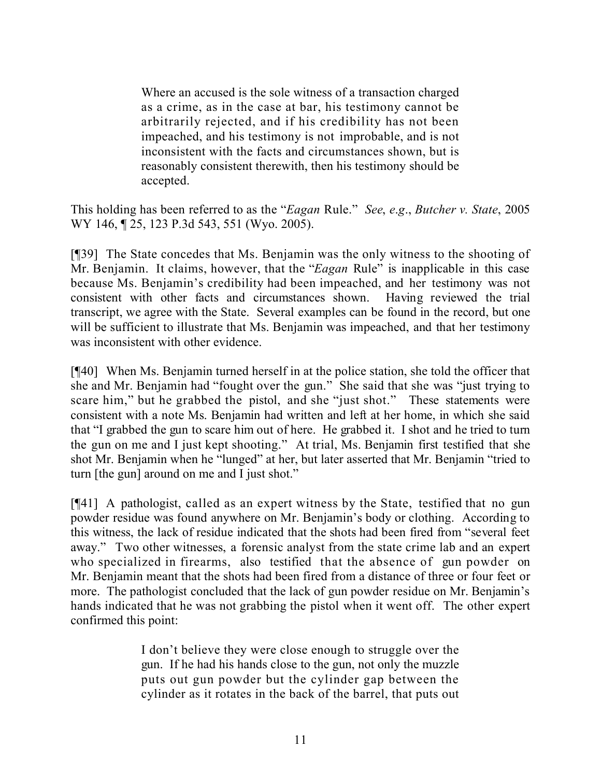Where an accused is the sole witness of a transaction charged as a crime, as in the case at bar, his testimony cannot be arbitrarily rejected, and if his credibility has not been impeached, and his testimony is not improbable, and is not inconsistent with the facts and circumstances shown, but is reasonably consistent therewith, then his testimony should be accepted.

This holding has been referred to as the "*Eagan* Rule." *See*, *e*.*g*., *Butcher v. State*, 2005 WY 146, 125, 123 P.3d 543, 551 (Wyo. 2005).

[¶39] The State concedes that Ms. Benjamin was the only witness to the shooting of Mr. Benjamin. It claims, however, that the "*Eagan* Rule" is inapplicable in this case because Ms. Benjamin's credibility had been impeached, and her testimony was not consistent with other facts and circumstances shown. Having reviewed the trial transcript, we agree with the State. Several examples can be found in the record, but one will be sufficient to illustrate that Ms. Benjamin was impeached, and that her testimony was inconsistent with other evidence.

[¶40] When Ms. Benjamin turned herself in at the police station, she told the officer that she and Mr. Benjamin had "fought over the gun." She said that she was "just trying to scare him," but he grabbed the pistol, and she "just shot." These statements were consistent with a note Ms. Benjamin had written and left at her home, in which she said that "I grabbed the gun to scare him out of here. He grabbed it. I shot and he tried to turn the gun on me and I just kept shooting." At trial, Ms. Benjamin first testified that she shot Mr. Benjamin when he "lunged" at her, but later asserted that Mr. Benjamin "tried to turn [the gun] around on me and I just shot."

[¶41] A pathologist, called as an expert witness by the State, testified that no gun powder residue was found anywhere on Mr. Benjamin's body or clothing. According to this witness, the lack of residue indicated that the shots had been fired from "several feet away." Two other witnesses, a forensic analyst from the state crime lab and an expert who specialized in firearms, also testified that the absence of gun powder on Mr. Benjamin meant that the shots had been fired from a distance of three or four feet or more. The pathologist concluded that the lack of gun powder residue on Mr. Benjamin's hands indicated that he was not grabbing the pistol when it went off. The other expert confirmed this point:

> I don't believe they were close enough to struggle over the gun. If he had his hands close to the gun, not only the muzzle puts out gun powder but the cylinder gap between the cylinder as it rotates in the back of the barrel, that puts out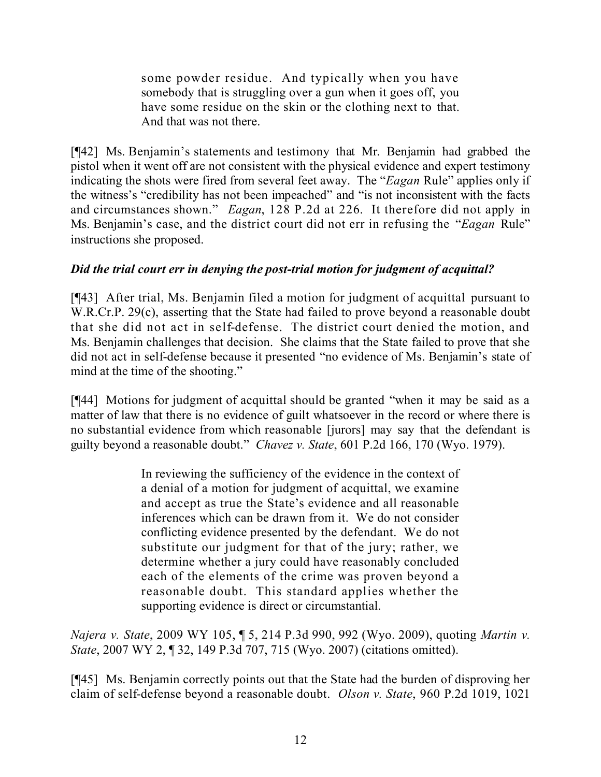some powder residue. And typically when you have somebody that is struggling over a gun when it goes off, you have some residue on the skin or the clothing next to that. And that was not there.

[¶42] Ms. Benjamin's statements and testimony that Mr. Benjamin had grabbed the pistol when it went off are not consistent with the physical evidence and expert testimony indicating the shots were fired from several feet away. The "*Eagan* Rule" applies only if the witness's "credibility has not been impeached" and "is not inconsistent with the facts and circumstances shown." *Eagan*, 128 P.2d at 226. It therefore did not apply in Ms. Benjamin's case, and the district court did not err in refusing the "*Eagan* Rule" instructions she proposed.

# *Did the trial court err in denying the post-trial motion for judgment of acquittal?*

[¶43] After trial, Ms. Benjamin filed a motion for judgment of acquittal pursuant to W.R.Cr.P. 29(c), asserting that the State had failed to prove beyond a reasonable doubt that she did not act in self-defense. The district court denied the motion, and Ms. Benjamin challenges that decision. She claims that the State failed to prove that she did not act in self-defense because it presented "no evidence of Ms. Benjamin's state of mind at the time of the shooting."

[¶44] Motions for judgment of acquittal should be granted "when it may be said as a matter of law that there is no evidence of guilt whatsoever in the record or where there is no substantial evidence from which reasonable [jurors] may say that the defendant is guilty beyond a reasonable doubt." *Chavez v. State*, 601 P.2d 166, 170 (Wyo. 1979).

> In reviewing the sufficiency of the evidence in the context of a denial of a motion for judgment of acquittal, we examine and accept as true the State's evidence and all reasonable inferences which can be drawn from it. We do not consider conflicting evidence presented by the defendant. We do not substitute our judgment for that of the jury; rather, we determine whether a jury could have reasonably concluded each of the elements of the crime was proven beyond a reasonable doubt. This standard applies whether the supporting evidence is direct or circumstantial.

*Najera v. State*, 2009 WY 105, ¶ 5, 214 P.3d 990, 992 (Wyo. 2009), quoting *Martin v. State*, 2007 WY 2, ¶ 32, 149 P.3d 707, 715 (Wyo. 2007) (citations omitted).

[¶45] Ms. Benjamin correctly points out that the State had the burden of disproving her claim of self-defense beyond a reasonable doubt. *Olson v. State*, 960 P.2d 1019, 1021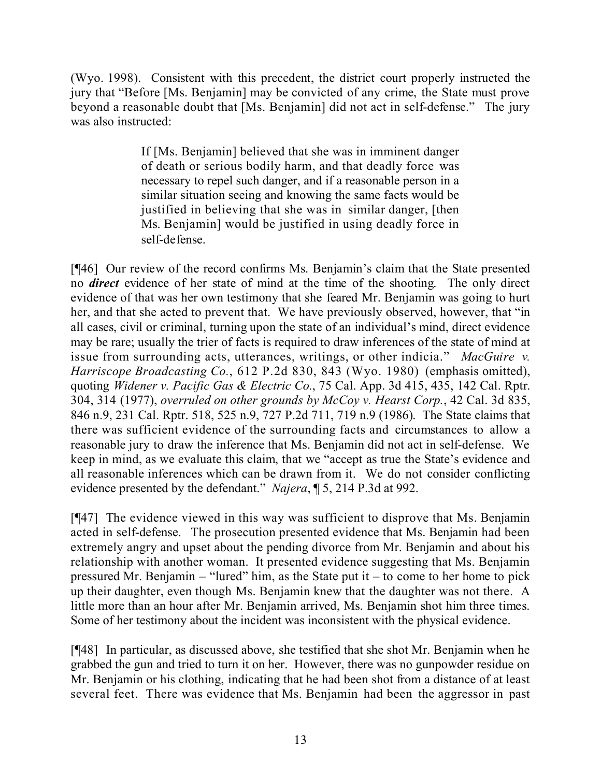(Wyo. 1998). Consistent with this precedent, the district court properly instructed the jury that "Before [Ms. Benjamin] may be convicted of any crime, the State must prove beyond a reasonable doubt that [Ms. Benjamin] did not act in self-defense." The jury was also instructed:

> If [Ms. Benjamin] believed that she was in imminent danger of death or serious bodily harm, and that deadly force was necessary to repel such danger, and if a reasonable person in a similar situation seeing and knowing the same facts would be justified in believing that she was in similar danger, [then Ms. Benjamin] would be justified in using deadly force in self-defense.

[¶46] Our review of the record confirms Ms. Benjamin's claim that the State presented no *direct* evidence of her state of mind at the time of the shooting. The only direct evidence of that was her own testimony that she feared Mr. Benjamin was going to hurt her, and that she acted to prevent that. We have previously observed, however, that "in all cases, civil or criminal, turning upon the state of an individual's mind, direct evidence may be rare; usually the trier of facts is required to draw inferences of the state of mind at issue from surrounding acts, utterances, writings, or other indicia." *MacGuire v. Harriscope Broadcasting Co.*, 612 P.2d 830, 843 (Wyo. 1980) (emphasis omitted), quoting *Widener v. Pacific Gas & Electric Co.*, 75 Cal. App. 3d 415, 435, 142 Cal. Rptr. 304, 314 (1977), *overruled on other grounds by McCoy v. Hearst Corp.*, 42 Cal. 3d 835, 846 n.9, 231 Cal. Rptr. 518, 525 n.9, 727 P.2d 711, 719 n.9 (1986). The State claims that there was sufficient evidence of the surrounding facts and circumstances to allow a reasonable jury to draw the inference that Ms. Benjamin did not act in self-defense. We keep in mind, as we evaluate this claim, that we "accept as true the State's evidence and all reasonable inferences which can be drawn from it. We do not consider conflicting evidence presented by the defendant." *Najera*, ¶ 5, 214 P.3d at 992.

[¶47] The evidence viewed in this way was sufficient to disprove that Ms. Benjamin acted in self-defense. The prosecution presented evidence that Ms. Benjamin had been extremely angry and upset about the pending divorce from Mr. Benjamin and about his relationship with another woman. It presented evidence suggesting that Ms. Benjamin pressured Mr. Benjamin – "lured" him, as the State put it – to come to her home to pick up their daughter, even though Ms. Benjamin knew that the daughter was not there. A little more than an hour after Mr. Benjamin arrived, Ms. Benjamin shot him three times. Some of her testimony about the incident was inconsistent with the physical evidence.

[¶48] In particular, as discussed above, she testified that she shot Mr. Benjamin when he grabbed the gun and tried to turn it on her. However, there was no gunpowder residue on Mr. Benjamin or his clothing, indicating that he had been shot from a distance of at least several feet. There was evidence that Ms. Benjamin had been the aggressor in past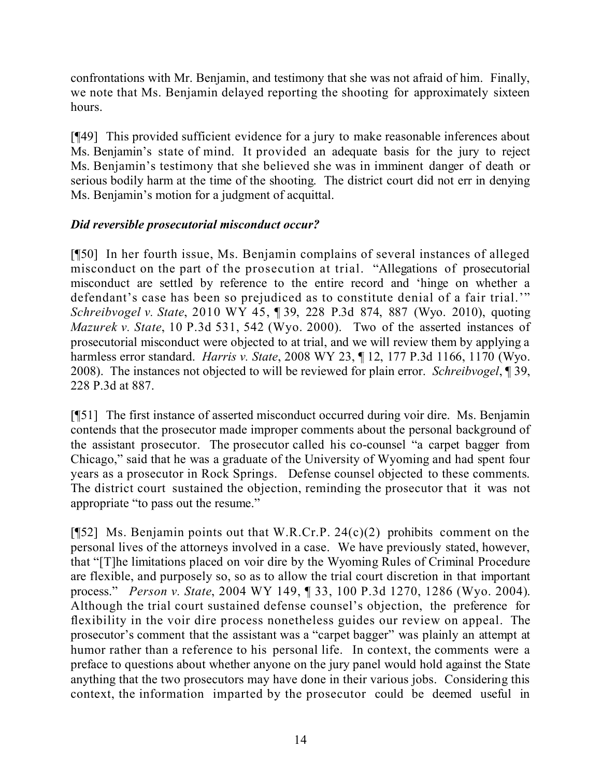confrontations with Mr. Benjamin, and testimony that she was not afraid of him. Finally, we note that Ms. Benjamin delayed reporting the shooting for approximately sixteen hours.

[¶49] This provided sufficient evidence for a jury to make reasonable inferences about Ms. Benjamin's state of mind. It provided an adequate basis for the jury to reject Ms. Benjamin's testimony that she believed she was in imminent danger of death or serious bodily harm at the time of the shooting. The district court did not err in denying Ms. Benjamin's motion for a judgment of acquittal.

## *Did reversible prosecutorial misconduct occur?*

[¶50] In her fourth issue, Ms. Benjamin complains of several instances of alleged misconduct on the part of the prosecution at trial. "Allegations of prosecutorial misconduct are settled by reference to the entire record and 'hinge on whether a defendant's case has been so prejudiced as to constitute denial of a fair trial.'" *Schreibvogel v. State*, 2010 WY 45, ¶ 39, 228 P.3d 874, 887 (Wyo. 2010), quoting *Mazurek v. State*, 10 P.3d 531, 542 (Wyo. 2000). Two of the asserted instances of prosecutorial misconduct were objected to at trial, and we will review them by applying a harmless error standard. *Harris v. State*, 2008 WY 23, ¶ 12, 177 P.3d 1166, 1170 (Wyo. 2008). The instances not objected to will be reviewed for plain error. *Schreibvogel*, ¶ 39, 228 P.3d at 887.

[¶51] The first instance of asserted misconduct occurred during voir dire. Ms. Benjamin contends that the prosecutor made improper comments about the personal background of the assistant prosecutor. The prosecutor called his co-counsel "a carpet bagger from Chicago," said that he was a graduate of the University of Wyoming and had spent four years as a prosecutor in Rock Springs. Defense counsel objected to these comments. The district court sustained the objection, reminding the prosecutor that it was not appropriate "to pass out the resume."

[ $[$ 52] Ms. Benjamin points out that W.R.Cr.P. 24(c)(2) prohibits comment on the personal lives of the attorneys involved in a case. We have previously stated, however, that "[T]he limitations placed on voir dire by the Wyoming Rules of Criminal Procedure are flexible, and purposely so, so as to allow the trial court discretion in that important process." *Person v. State*, 2004 WY 149, ¶ 33, 100 P.3d 1270, 1286 (Wyo. 2004). Although the trial court sustained defense counsel's objection, the preference for flexibility in the voir dire process nonetheless guides our review on appeal. The prosecutor's comment that the assistant was a "carpet bagger" was plainly an attempt at humor rather than a reference to his personal life. In context, the comments were a preface to questions about whether anyone on the jury panel would hold against the State anything that the two prosecutors may have done in their various jobs. Considering this context, the information imparted by the prosecutor could be deemed useful in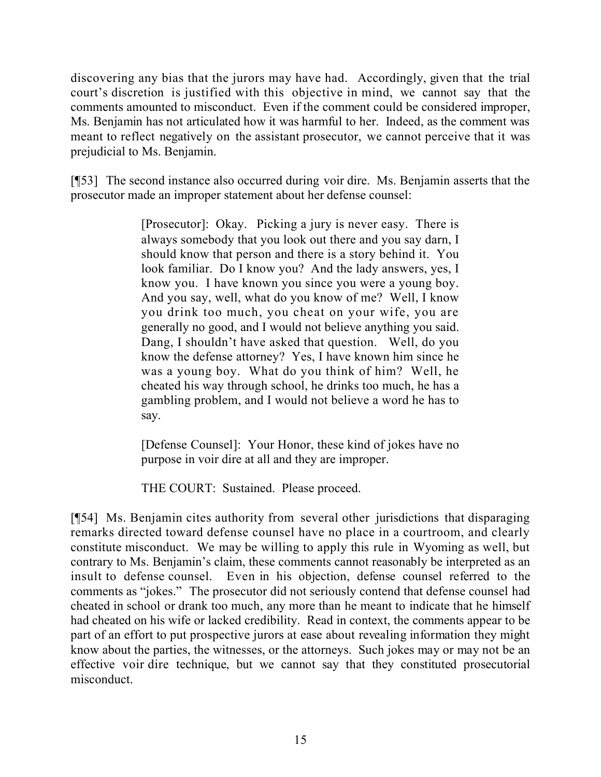discovering any bias that the jurors may have had. Accordingly, given that the trial court's discretion is justified with this objective in mind, we cannot say that the comments amounted to misconduct. Even if the comment could be considered improper, Ms. Benjamin has not articulated how it was harmful to her. Indeed, as the comment was meant to reflect negatively on the assistant prosecutor, we cannot perceive that it was prejudicial to Ms. Benjamin.

[¶53] The second instance also occurred during voir dire. Ms. Benjamin asserts that the prosecutor made an improper statement about her defense counsel:

> [Prosecutor]: Okay. Picking a jury is never easy. There is always somebody that you look out there and you say darn, I should know that person and there is a story behind it. You look familiar. Do I know you? And the lady answers, yes, I know you. I have known you since you were a young boy. And you say, well, what do you know of me? Well, I know you drink too much, you cheat on your wife, you are generally no good, and I would not believe anything you said. Dang, I shouldn't have asked that question. Well, do you know the defense attorney? Yes, I have known him since he was a young boy. What do you think of him? Well, he cheated his way through school, he drinks too much, he has a gambling problem, and I would not believe a word he has to say.

> [Defense Counsel]: Your Honor, these kind of jokes have no purpose in voir dire at all and they are improper.

THE COURT: Sustained. Please proceed.

[¶54] Ms. Benjamin cites authority from several other jurisdictions that disparaging remarks directed toward defense counsel have no place in a courtroom, and clearly constitute misconduct. We may be willing to apply this rule in Wyoming as well, but contrary to Ms. Benjamin's claim, these comments cannot reasonably be interpreted as an insult to defense counsel. Even in his objection, defense counsel referred to the comments as "jokes." The prosecutor did not seriously contend that defense counsel had cheated in school or drank too much, any more than he meant to indicate that he himself had cheated on his wife or lacked credibility. Read in context, the comments appear to be part of an effort to put prospective jurors at ease about revealing information they might know about the parties, the witnesses, or the attorneys. Such jokes may or may not be an effective voir dire technique, but we cannot say that they constituted prosecutorial misconduct.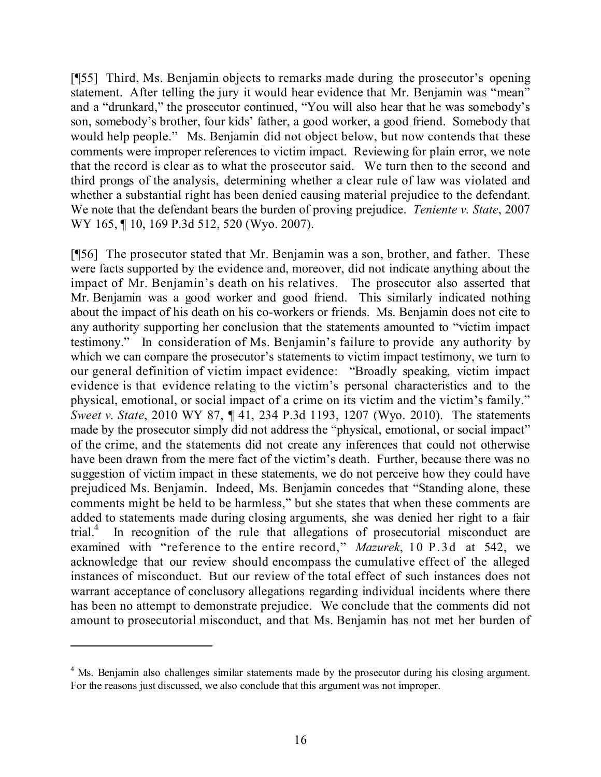[¶55] Third, Ms. Benjamin objects to remarks made during the prosecutor's opening statement. After telling the jury it would hear evidence that Mr. Benjamin was "mean" and a "drunkard," the prosecutor continued, "You will also hear that he was somebody's son, somebody's brother, four kids' father, a good worker, a good friend. Somebody that would help people." Ms. Benjamin did not object below, but now contends that these comments were improper references to victim impact. Reviewing for plain error, we note that the record is clear as to what the prosecutor said. We turn then to the second and third prongs of the analysis, determining whether a clear rule of law was violated and whether a substantial right has been denied causing material prejudice to the defendant. We note that the defendant bears the burden of proving prejudice. *Teniente v. State*, 2007 WY 165, ¶ 10, 169 P.3d 512, 520 (Wyo. 2007).

[¶56] The prosecutor stated that Mr. Benjamin was a son, brother, and father. These were facts supported by the evidence and, moreover, did not indicate anything about the impact of Mr. Benjamin's death on his relatives. The prosecutor also asserted that Mr. Benjamin was a good worker and good friend. This similarly indicated nothing about the impact of his death on his co-workers or friends. Ms. Benjamin does not cite to any authority supporting her conclusion that the statements amounted to "victim impact testimony." In consideration of Ms. Benjamin's failure to provide any authority by which we can compare the prosecutor's statements to victim impact testimony, we turn to our general definition of victim impact evidence: "Broadly speaking, victim impact evidence is that evidence relating to the victim's personal characteristics and to the physical, emotional, or social impact of a crime on its victim and the victim's family." *Sweet v. State*, 2010 WY 87, ¶ 41, 234 P.3d 1193, 1207 (Wyo. 2010). The statements made by the prosecutor simply did not address the "physical, emotional, or social impact" of the crime, and the statements did not create any inferences that could not otherwise have been drawn from the mere fact of the victim's death. Further, because there was no suggestion of victim impact in these statements, we do not perceive how they could have prejudiced Ms. Benjamin. Indeed, Ms. Benjamin concedes that "Standing alone, these comments might be held to be harmless," but she states that when these comments are added to statements made during closing arguments, she was denied her right to a fair trial.<sup>4</sup> In recognition of the rule that allegations of prosecutorial misconduct are examined with "reference to the entire record," *Mazurek*, 10 P.3d at 542, we acknowledge that our review should encompass the cumulative effect of the alleged instances of misconduct. But our review of the total effect of such instances does not warrant acceptance of conclusory allegations regarding individual incidents where there has been no attempt to demonstrate prejudice. We conclude that the comments did not amount to prosecutorial misconduct, and that Ms. Benjamin has not met her burden of

<sup>&</sup>lt;sup>4</sup> Ms. Benjamin also challenges similar statements made by the prosecutor during his closing argument. For the reasons just discussed, we also conclude that this argument was not improper.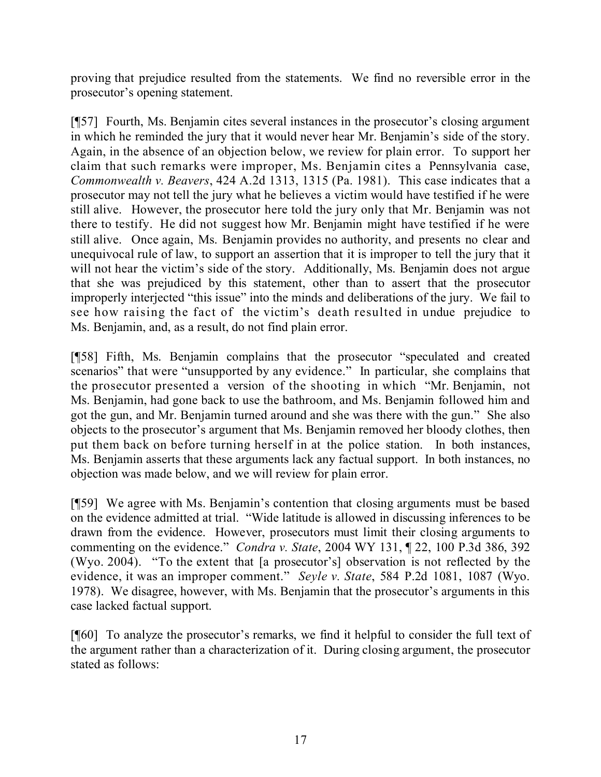proving that prejudice resulted from the statements. We find no reversible error in the prosecutor's opening statement.

[¶57] Fourth, Ms. Benjamin cites several instances in the prosecutor's closing argument in which he reminded the jury that it would never hear Mr. Benjamin's side of the story. Again, in the absence of an objection below, we review for plain error. To support her claim that such remarks were improper, Ms. Benjamin cites a Pennsylvania case, *Commonwealth v. Beavers*, 424 A.2d 1313, 1315 (Pa. 1981). This case indicates that a prosecutor may not tell the jury what he believes a victim would have testified if he were still alive. However, the prosecutor here told the jury only that Mr. Benjamin was not there to testify. He did not suggest how Mr. Benjamin might have testified if he were still alive. Once again, Ms. Benjamin provides no authority, and presents no clear and unequivocal rule of law, to support an assertion that it is improper to tell the jury that it will not hear the victim's side of the story. Additionally, Ms. Benjamin does not argue that she was prejudiced by this statement, other than to assert that the prosecutor improperly interjected "this issue" into the minds and deliberations of the jury. We fail to see how raising the fact of the victim's death resulted in undue prejudice to Ms. Benjamin, and, as a result, do not find plain error.

[¶58] Fifth, Ms. Benjamin complains that the prosecutor "speculated and created scenarios" that were "unsupported by any evidence." In particular, she complains that the prosecutor presented a version of the shooting in which "Mr. Benjamin, not Ms. Benjamin, had gone back to use the bathroom, and Ms. Benjamin followed him and got the gun, and Mr. Benjamin turned around and she was there with the gun." She also objects to the prosecutor's argument that Ms. Benjamin removed her bloody clothes, then put them back on before turning herself in at the police station. In both instances, Ms. Benjamin asserts that these arguments lack any factual support. In both instances, no objection was made below, and we will review for plain error.

[¶59] We agree with Ms. Benjamin's contention that closing arguments must be based on the evidence admitted at trial. "Wide latitude is allowed in discussing inferences to be drawn from the evidence. However, prosecutors must limit their closing arguments to commenting on the evidence." *Condra v. State*, 2004 WY 131, ¶ 22, 100 P.3d 386, 392 (Wyo. 2004). "To the extent that [a prosecutor's] observation is not reflected by the evidence, it was an improper comment." *Seyle v. State*, 584 P.2d 1081, 1087 (Wyo. 1978). We disagree, however, with Ms. Benjamin that the prosecutor's arguments in this case lacked factual support.

[¶60] To analyze the prosecutor's remarks, we find it helpful to consider the full text of the argument rather than a characterization of it. During closing argument, the prosecutor stated as follows: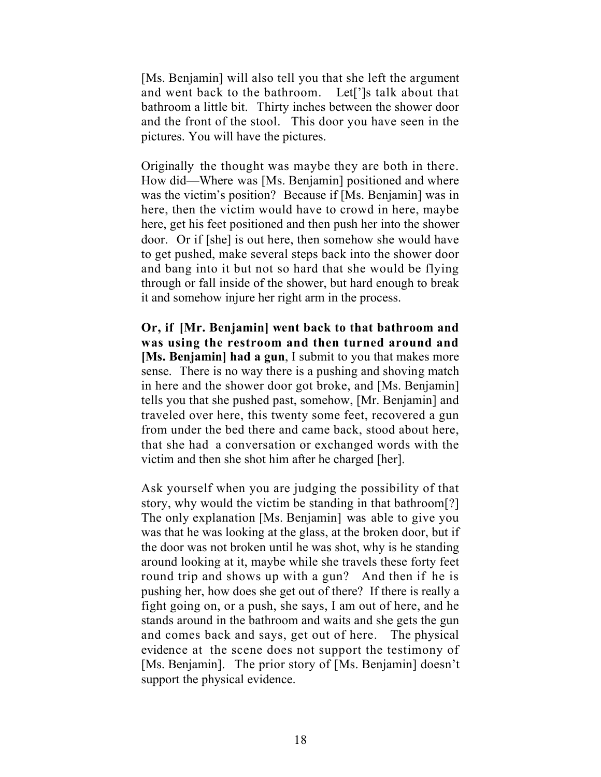[Ms. Benjamin] will also tell you that she left the argument and went back to the bathroom. Let[']s talk about that bathroom a little bit. Thirty inches between the shower door and the front of the stool. This door you have seen in the pictures. You will have the pictures.

Originally the thought was maybe they are both in there. How did—Where was [Ms. Benjamin] positioned and where was the victim's position? Because if [Ms. Benjamin] was in here, then the victim would have to crowd in here, maybe here, get his feet positioned and then push her into the shower door. Or if [she] is out here, then somehow she would have to get pushed, make several steps back into the shower door and bang into it but not so hard that she would be flying through or fall inside of the shower, but hard enough to break it and somehow injure her right arm in the process.

**Or, if [Mr. Benjamin] went back to that bathroom and was using the restroom and then turned around and [Ms. Benjamin] had a gun**, I submit to you that makes more sense. There is no way there is a pushing and shoving match in here and the shower door got broke, and [Ms. Benjamin] tells you that she pushed past, somehow, [Mr. Benjamin] and traveled over here, this twenty some feet, recovered a gun from under the bed there and came back, stood about here, that she had a conversation or exchanged words with the victim and then she shot him after he charged [her].

Ask yourself when you are judging the possibility of that story, why would the victim be standing in that bathroom[?] The only explanation [Ms. Benjamin] was able to give you was that he was looking at the glass, at the broken door, but if the door was not broken until he was shot, why is he standing around looking at it, maybe while she travels these forty feet round trip and shows up with a gun? And then if he is pushing her, how does she get out of there? If there is really a fight going on, or a push, she says, I am out of here, and he stands around in the bathroom and waits and she gets the gun and comes back and says, get out of here. The physical evidence at the scene does not support the testimony of [Ms. Benjamin]. The prior story of [Ms. Benjamin] doesn't support the physical evidence.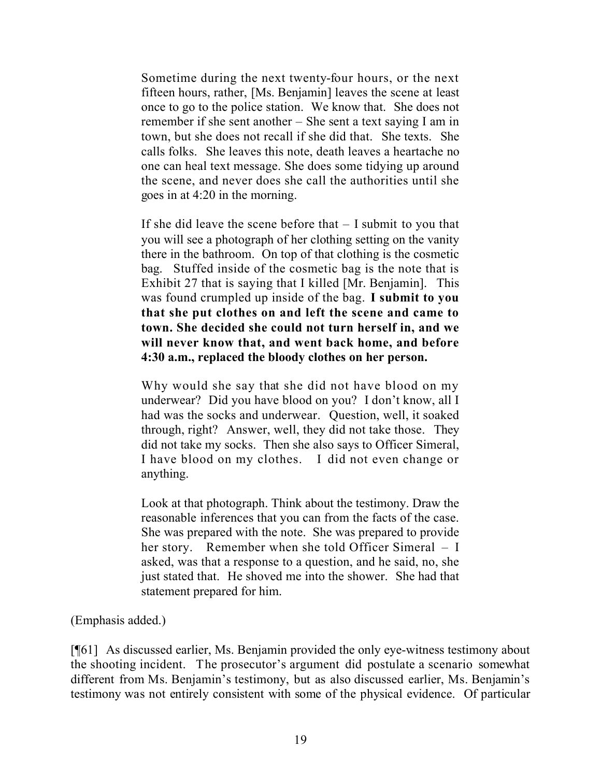Sometime during the next twenty-four hours, or the next fifteen hours, rather, [Ms. Benjamin] leaves the scene at least once to go to the police station. We know that. She does not remember if she sent another – She sent a text saying I am in town, but she does not recall if she did that. She texts. She calls folks. She leaves this note, death leaves a heartache no one can heal text message. She does some tidying up around the scene, and never does she call the authorities until she goes in at 4:20 in the morning.

If she did leave the scene before that – I submit to you that you will see a photograph of her clothing setting on the vanity there in the bathroom. On top of that clothing is the cosmetic bag. Stuffed inside of the cosmetic bag is the note that is Exhibit 27 that is saying that I killed [Mr. Benjamin]. This was found crumpled up inside of the bag. **I submit to you that she put clothes on and left the scene and came to town. She decided she could not turn herself in, and we will never know that, and went back home, and before 4:30 a.m., replaced the bloody clothes on her person.**

Why would she say that she did not have blood on my underwear? Did you have blood on you? I don't know, all I had was the socks and underwear. Question, well, it soaked through, right? Answer, well, they did not take those. They did not take my socks. Then she also says to Officer Simeral, I have blood on my clothes. I did not even change or anything.

Look at that photograph. Think about the testimony. Draw the reasonable inferences that you can from the facts of the case. She was prepared with the note. She was prepared to provide her story. Remember when she told Officer Simeral – I asked, was that a response to a question, and he said, no, she just stated that. He shoved me into the shower. She had that statement prepared for him.

(Emphasis added.)

[¶61] As discussed earlier, Ms. Benjamin provided the only eye-witness testimony about the shooting incident. The prosecutor's argument did postulate a scenario somewhat different from Ms. Benjamin's testimony, but as also discussed earlier, Ms. Benjamin's testimony was not entirely consistent with some of the physical evidence. Of particular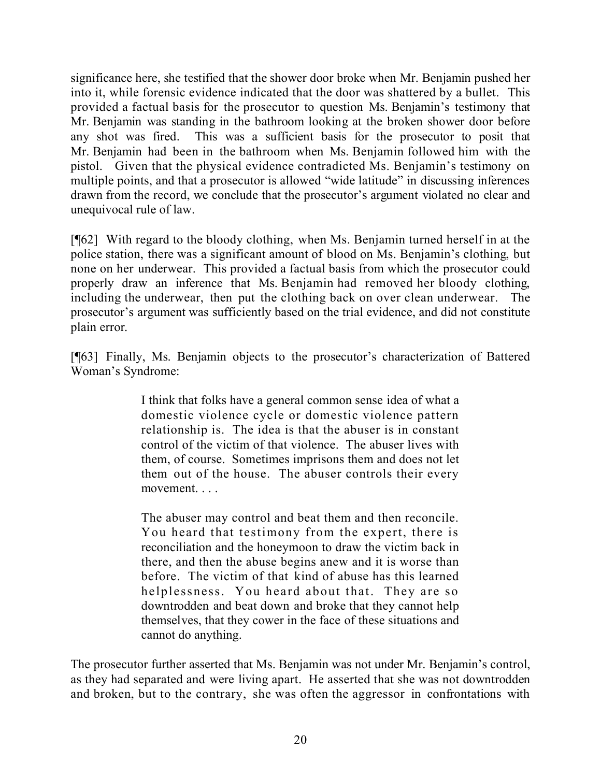significance here, she testified that the shower door broke when Mr. Benjamin pushed her into it, while forensic evidence indicated that the door was shattered by a bullet. This provided a factual basis for the prosecutor to question Ms. Benjamin's testimony that Mr. Benjamin was standing in the bathroom looking at the broken shower door before any shot was fired. This was a sufficient basis for the prosecutor to posit that Mr. Benjamin had been in the bathroom when Ms. Benjamin followed him with the pistol. Given that the physical evidence contradicted Ms. Benjamin's testimony on multiple points, and that a prosecutor is allowed "wide latitude" in discussing inferences drawn from the record, we conclude that the prosecutor's argument violated no clear and unequivocal rule of law.

[¶62] With regard to the bloody clothing, when Ms. Benjamin turned herself in at the police station, there was a significant amount of blood on Ms. Benjamin's clothing, but none on her underwear. This provided a factual basis from which the prosecutor could properly draw an inference that Ms. Benjamin had removed her bloody clothing, including the underwear, then put the clothing back on over clean underwear. The prosecutor's argument was sufficiently based on the trial evidence, and did not constitute plain error.

[¶63] Finally, Ms. Benjamin objects to the prosecutor's characterization of Battered Woman's Syndrome:

> I think that folks have a general common sense idea of what a domestic violence cycle or domestic violence pattern relationship is. The idea is that the abuser is in constant control of the victim of that violence. The abuser lives with them, of course. Sometimes imprisons them and does not let them out of the house. The abuser controls their every movement. . . .

> The abuser may control and beat them and then reconcile. You heard that testimony from the expert, there is reconciliation and the honeymoon to draw the victim back in there, and then the abuse begins anew and it is worse than before. The victim of that kind of abuse has this learned helplessness. You heard about that. They are so downtrodden and beat down and broke that they cannot help themselves, that they cower in the face of these situations and cannot do anything.

The prosecutor further asserted that Ms. Benjamin was not under Mr. Benjamin's control, as they had separated and were living apart. He asserted that she was not downtrodden and broken, but to the contrary, she was often the aggressor in confrontations with